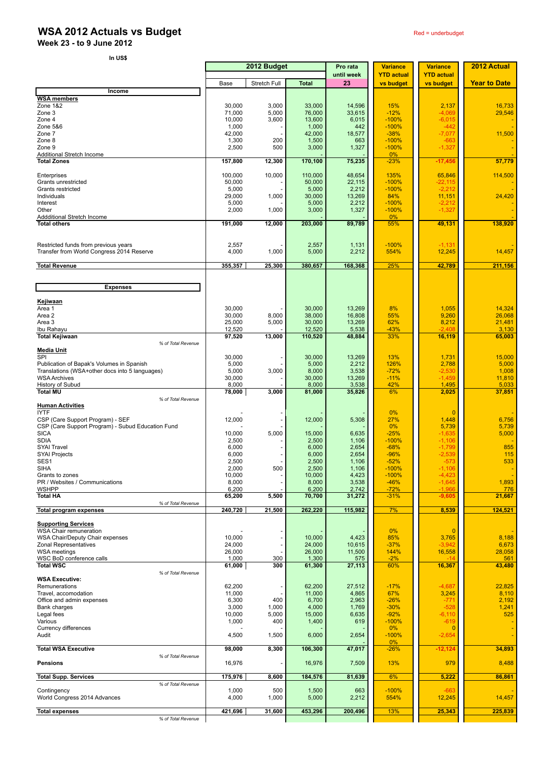## **WSA 2012 Actuals vs Budget** Red **Example 2012** Actuals vs Budget

**Week 23 - to 9 June 2012** 

| In US\$                                                               |                   |                |                   |                        |                                      |                                      |                     |
|-----------------------------------------------------------------------|-------------------|----------------|-------------------|------------------------|--------------------------------------|--------------------------------------|---------------------|
|                                                                       | 2012 Budget       |                |                   | Pro rata<br>until week | <b>Variance</b><br><b>YTD actual</b> | <b>Variance</b><br><b>YTD actual</b> | 2012 Actual         |
|                                                                       | Base              | Stretch Full   | <b>Total</b>      | 23                     | vs budget                            | vs budget                            | <b>Year to Date</b> |
| Income                                                                |                   |                |                   |                        |                                      |                                      |                     |
| <b>WSA members</b><br>Zone 1&2                                        | 30,000            | 3,000          | 33,000            | 14,596                 | 15%                                  | 2,137                                | 16,733              |
| Zone 3<br>Zone 4                                                      | 71,000            | 5,000          | 76,000            | 33,615<br>6,015        | $-12%$<br>$-100%$                    | $-4,069$                             | 29,546              |
| Zone 5&6                                                              | 10,000<br>1,000   | 3,600          | 13,600<br>1,000   | 442                    | $-100%$                              | $-6,015$<br>$-442$                   |                     |
| Zone 7<br>Zone 8                                                      | 42,000<br>1,300   | 200            | 42,000<br>1,500   | 18,577<br>663          | $-38%$<br>$-100%$                    | $-7,077$<br>$-663$                   | 11,500              |
| Zone 9                                                                | 2,500             | 500            | 3,000             | 1,327                  | $-100%$                              | $-1,327$                             |                     |
| Additional Stretch Income<br><b>Total Zones</b>                       | 157,800           | 12,300         | 170,100           | 75,235                 | 0%<br>$-23%$                         | $-17,456$                            | 57,779              |
|                                                                       |                   |                |                   |                        |                                      |                                      |                     |
| Enterprises<br>Grants unrestricted                                    | 100.000<br>50,000 | 10,000         | 110,000<br>50,000 | 48,654<br>22,115       | 135%<br>$-100%$                      | 65,846<br>$-22,115$                  | 114,500             |
| Grants restricted                                                     | 5,000             |                | 5,000             | 2,212                  | $-100%$                              | $-2,212$                             |                     |
| Individuals<br>Interest                                               | 29,000<br>5,000   | 1,000          | 30,000<br>5,000   | 13,269<br>2,212        | 84%<br>$-100%$                       | 11,151<br>$-2,212$                   | 24,420              |
| Other                                                                 | 2,000             | 1,000          | 3,000             | 1,327                  | $-100%$                              | $-1,327$                             |                     |
| Addditional Stretch Income<br><b>Total others</b>                     | 191,000           | 12,000         | 203,000           | 89,789                 | 0%<br>55%                            | 49,131                               | 138,920             |
|                                                                       |                   |                |                   |                        |                                      |                                      |                     |
| Restricted funds from previous years                                  | 2,557             |                | 2,557             | 1,131                  | $-100%$                              | $-1,131$                             |                     |
| Transfer from World Congress 2014 Reserve                             | 4,000             | 1,000          | 5,000             | 2,212                  | 554%                                 | 12,245                               | 14,457              |
| <b>Total Revenue</b>                                                  | 355,357           | 25,300         | 380,657           | 168,368                | 25%                                  | 42,789                               | 211,156             |
|                                                                       |                   |                |                   |                        |                                      |                                      |                     |
| <b>Expenses</b>                                                       |                   |                |                   |                        |                                      |                                      |                     |
| Kejiwaan                                                              |                   |                |                   |                        |                                      |                                      |                     |
| Area 1<br>Area 2                                                      | 30,000<br>30,000  | 8,000          | 30,000<br>38,000  | 13,269<br>16,808       | 8%<br>55%                            | 1,055<br>9,260                       | 14,324<br>26,068    |
| Area 3                                                                | 25,000            | 5,000          | 30,000            | 13,269                 | 62%                                  | 8,212                                | 21,481              |
| Ibu Rahayu<br><b>Total Kejiwaan</b>                                   | 12,520<br>97,520  | 13,000         | 12,520<br>110,520 | 5,538<br>48,884        | $-43%$<br>33%                        | $-2.408$<br>16,119                   | 3,130<br>65,003     |
| % of Total Revenue                                                    |                   |                |                   |                        |                                      |                                      |                     |
| <b>Media Unit</b><br>SPI                                              | 30,000            |                | 30,000            | 13,269                 | 13%                                  | 1,731                                | 15,000              |
| Publication of Bapak's Volumes in Spanish                             | 5,000             |                | 5,000             | 2,212                  | 126%                                 | 2,788                                | 5,000               |
| Translations (WSA+other docs into 5 languages)<br><b>WSA Archives</b> | 5,000<br>30,000   | 3,000          | 8,000<br>30,000   | 3,538<br>13,269        | $-72%$<br>$-11%$                     | $-2,530$<br>$-1,459$                 | 1,008<br>11,810     |
| History of Subud                                                      | 8,000             |                | 8,000             | 3,538                  | 42%                                  | 1,495                                | 5,033               |
| <b>Total MU</b><br>% of Total Revenue                                 | 78,000            | 3,000          | 81,000            | 35,826                 | 6%                                   | 2,025                                | 37,851              |
| <b>Human Activities</b>                                               |                   |                |                   |                        |                                      |                                      |                     |
| <b>IYTF</b><br>CSP (Care Support Program) - SEF                       | 12,000            |                | 12,000            | 5,308                  | 0%<br>27%                            | $\Omega$<br>1,448                    | 6,756               |
| CSP (Care Support Program) - Subud Education Fund<br><b>SICA</b>      |                   |                |                   |                        | 0%                                   | 5,739                                | 5,739               |
| <b>SDIA</b>                                                           | 10,000<br>2,500   | 5,000          | 15,000<br>2,500   | 6,635<br>1,106         | $-25%$<br>$-100%$                    | $-1,635$<br>$-1,106$                 | 5,000               |
| <b>SYAI Travel</b><br><b>SYAI Projects</b>                            | 6,000<br>6,000    |                | 6,000<br>6,000    | 2,654<br>2,654         | $-68%$<br>$-96%$                     | $-1,799$<br>$-2,539$                 | 855<br>115          |
| SES1                                                                  | 2,500             |                | 2,500             | 1,106                  | $-52%$                               | $-573$                               | 533                 |
| SIHA<br>Grants to zones                                               | 2,000<br>10,000   | 500            | 2,500<br>10,000   | 1,106<br>4,423         | $-100%$<br>$-100%$                   | $-1,106$<br>$-4,423$                 |                     |
| PR / Websites / Communications                                        | 8,000             |                | 8,000             | 3,538                  | $-46%$                               | $-1,645$                             | 1,893               |
| <b>WSHPP</b><br><b>Total HA</b>                                       | 6,200<br>65,200   | 5,500          | 6,200<br>70,700   | 2,742<br>31,272        | $-72%$<br>$-31%$                     | $-1,966$<br>$-9,605$                 | 776<br>21,667       |
| % of Total Revenue                                                    |                   |                |                   |                        |                                      |                                      |                     |
| <b>Total program expenses</b>                                         | 240,720           | 21,500         | 262,220           | 115,982                | 7%                                   | 8,539                                | 124,521             |
| <b>Supporting Services</b>                                            |                   |                |                   |                        |                                      |                                      |                     |
| <b>WSA Chair remuneration</b><br>WSA Chair/Deputy Chair expenses      | 10,000            |                | 10,000            | 4,423                  | 0%<br>85%                            | $\overline{0}$<br>3,765              | 8,188               |
| Zonal Representatives                                                 | 24,000            |                | 24,000            | 10,615                 | $-37%$                               | $-3,942$                             | 6,673               |
| <b>WSA</b> meetings<br>WSC BoD conference calls                       | 26,000<br>1,000   | 300            | 26,000<br>1,300   | 11,500<br>575          | 144%<br>$-2%$                        | 16,558<br>$-14$                      | 28,058<br>561       |
| <b>Total WSC</b><br>% of Total Revenue                                | 61,000            | 300            | 61,300            | 27,113                 | 60%                                  | 16,367                               | 43,480              |
| <b>WSA Executive:</b>                                                 |                   |                |                   |                        |                                      |                                      |                     |
| Remunerations<br>Travel, accomodation                                 | 62,200<br>11,000  |                | 62,200<br>11,000  | 27,512<br>4,865        | $-17%$<br>67%                        | $-4,687$<br>3,245                    | 22,825<br>8,110     |
| Office and admin expenses                                             | 6,300             | 400            | 6,700             | 2,963                  | $-26%$                               | $-771$                               | 2,192               |
| Bank charges<br>Legal fees                                            | 3,000<br>10,000   | 1,000<br>5,000 | 4,000<br>15,000   | 1,769<br>6,635         | $-30%$<br>$-92%$                     | $-528$<br>$-6,110$                   | 1,241<br>525        |
| Various                                                               | 1,000             | 400            | 1,400             | 619                    | $-100%$                              | $-619$                               |                     |
| Currency differences<br>Audit                                         | 4,500             | 1,500          | 6,000             | 2,654                  | 0%<br>$-100%$                        | $\mathbf 0$<br>$-2,654$              |                     |
| <b>Total WSA Executive</b>                                            | 98,000            | 8,300          | 106,300           | 47,017                 | $0\%$<br>$-26%$                      | $-12,124$                            | 34,893              |
| % of Total Revenue<br><b>Pensions</b>                                 | 16,976            |                | 16,976            | 7,509                  | 13%                                  | 979                                  | 8,488               |
|                                                                       |                   |                |                   |                        |                                      |                                      |                     |
| <b>Total Supp. Services</b><br>% of Total Revenue                     | 175,976           | 8,600          | 184,576           | 81,639                 | 6%                                   | 5,222                                | 86,861              |
| Contingency                                                           | 1,000             | 500            | 1,500             | 663                    | $-100%$                              | -663                                 |                     |
| World Congress 2014 Advances                                          | 4,000             | 1,000          | 5,000             | 2,212                  | 554%                                 | 12,245                               | 14,457              |
| <b>Total expenses</b><br>% of Total Revenue                           | 421,696           | 31,600         | 453,296           | 200,496                | 13%                                  | 25,343                               | 225,839             |